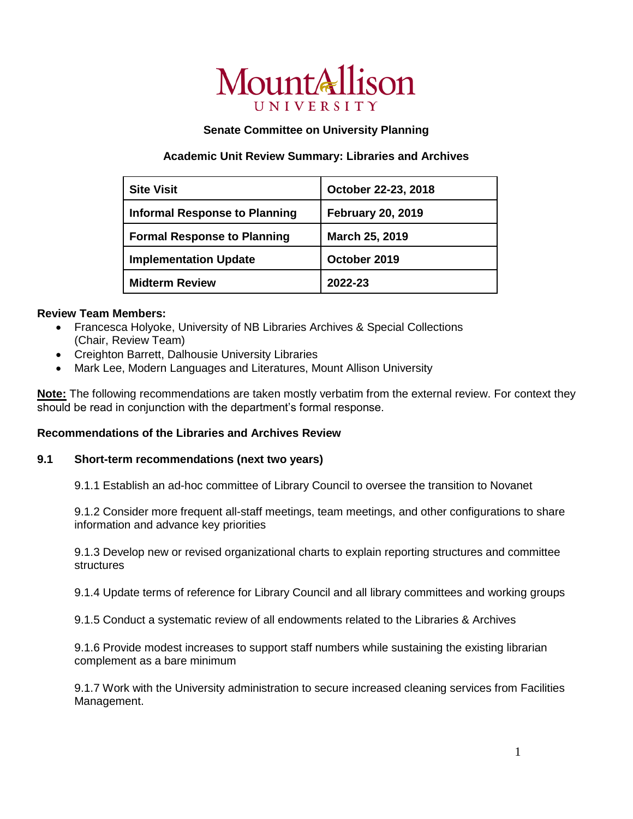# MountAllison UNIVERSITY

### **Senate Committee on University Planning**

## **Academic Unit Review Summary: Libraries and Archives**

| <b>Site Visit</b>                    | October 22-23, 2018      |
|--------------------------------------|--------------------------|
| <b>Informal Response to Planning</b> | <b>February 20, 2019</b> |
| <b>Formal Response to Planning</b>   | <b>March 25, 2019</b>    |
| <b>Implementation Update</b>         | October 2019             |
| <b>Midterm Review</b>                | 2022-23                  |

### **Review Team Members:**

- Francesca Holyoke, University of NB Libraries Archives & Special Collections (Chair, Review Team)
- Creighton Barrett, Dalhousie University Libraries
- Mark Lee, Modern Languages and Literatures, Mount Allison University

**Note:** The following recommendations are taken mostly verbatim from the external review. For context they should be read in conjunction with the department's formal response.

#### **Recommendations of the Libraries and Archives Review**

#### **9.1 Short-term recommendations (next two years)**

9.1.1 Establish an ad-hoc committee of Library Council to oversee the transition to Novanet

9.1.2 Consider more frequent all-staff meetings, team meetings, and other configurations to share information and advance key priorities

9.1.3 Develop new or revised organizational charts to explain reporting structures and committee **structures** 

9.1.4 Update terms of reference for Library Council and all library committees and working groups

9.1.5 Conduct a systematic review of all endowments related to the Libraries & Archives

9.1.6 Provide modest increases to support staff numbers while sustaining the existing librarian complement as a bare minimum

9.1.7 Work with the University administration to secure increased cleaning services from Facilities Management.